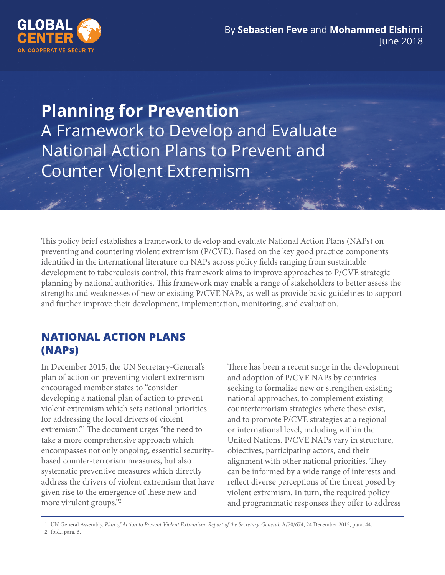

**Planning for Prevention** A Framework to Develop and Evaluate National Action Plans to Prevent and Counter Violent Extremism

This policy brief establishes a framework to develop and evaluate National Action Plans (NAPs) on preventing and countering violent extremism (P/CVE). Based on the key good practice components identified in the international literature on NAPs across policy fields ranging from sustainable development to tuberculosis control, this framework aims to improve approaches to P/CVE strategic planning by national authorities. This framework may enable a range of stakeholders to better assess the strengths and weaknesses of new or existing P/CVE NAPs, as well as provide basic guidelines to support and further improve their development, implementation, monitoring, and evaluation.

## **NATIONAL ACTION PLANS (NAPs)**

In December 2015, the UN Secretary-General's plan of action on preventing violent extremism encouraged member states to "consider developing a national plan of action to prevent violent extremism which sets national priorities for addressing the local drivers of violent extremism."1 The document urges "the need to take a more comprehensive approach which encompasses not only ongoing, essential securitybased counter-terrorism measures, but also systematic preventive measures which directly address the drivers of violent extremism that have given rise to the emergence of these new and more virulent groups."2

There has been a recent surge in the development and adoption of P/CVE NAPs by countries seeking to formalize new or strengthen existing national approaches, to complement existing counterterrorism strategies where those exist, and to promote P/CVE strategies at a regional or international level, including within the United Nations. P/CVE NAPs vary in structure, objectives, participating actors, and their alignment with other national priorities. They can be informed by a wide range of interests and reflect diverse perceptions of the threat posed by violent extremism. In turn, the required policy and programmatic responses they offer to address

1 UN General Assembly, Plan of Action to Prevent Violent Extremism: Report of the Secretary-General, A/70/674, 24 December 2015, para. 44. 2 Ibid., para. 6.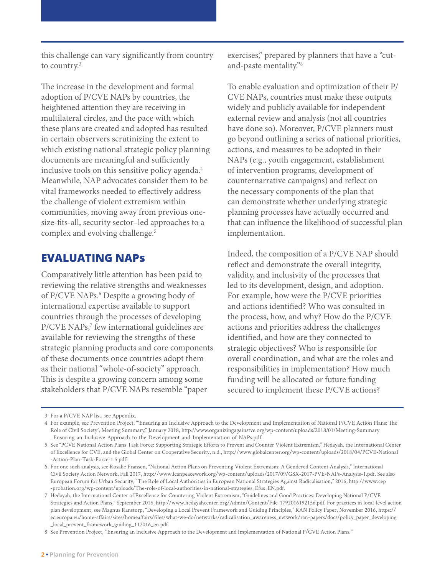this challenge can vary significantly from country to country.<sup>3</sup>

The increase in the development and formal adoption of P/CVE NAPs by countries, the heightened attention they are receiving in multilateral circles, and the pace with which these plans are created and adopted has resulted in certain observers scrutinizing the extent to which existing national strategic policy planning documents are meaningful and sufficiently inclusive tools on this sensitive policy agenda.<sup>4</sup> Meanwhile, NAP advocates consider them to be vital frameworks needed to effectively address the challenge of violent extremism within communities, moving away from previous onesize-fits-all, security sector–led approaches to a complex and evolving challenge.<sup>5</sup>

## **EVALUATING NAPs**

Comparatively little attention has been paid to reviewing the relative strengths and weaknesses of P/CVE NAPs.<sup>6</sup> Despite a growing body of international expertise available to support countries through the processes of developing P/CVE NAPs,<sup>7</sup> few international guidelines are available for reviewing the strengths of these strategic planning products and core components of these documents once countries adopt them as their national "whole-of-society" approach. This is despite a growing concern among some stakeholders that P/CVE NAPs resemble "paper

exercises," prepared by planners that have a "cutand-paste mentality."8

To enable evaluation and optimization of their P/ CVE NAPs, countries must make these outputs widely and publicly available for independent external review and analysis (not all countries have done so). Moreover, P/CVE planners must go beyond outlining a series of national priorities, actions, and measures to be adopted in their NAPs (e.g., youth engagement, establishment of intervention programs, development of counternarrative campaigns) and reflect on the necessary components of the plan that can demonstrate whether underlying strategic planning processes have actually occurred and that can influence the likelihood of successful plan implementation.

Indeed, the composition of a P/CVE NAP should reflect and demonstrate the overall integrity, validity, and inclusivity of the processes that led to its development, design, and adoption. For example, how were the P/CVE priorities and actions identified? Who was consulted in the process, how, and why? How do the P/CVE actions and priorities address the challenges identified, and how are they connected to strategic objectives? Who is responsible for overall coordination, and what are the roles and responsibilities in implementation? How much funding will be allocated or future funding secured to implement these P/CVE actions?

8 See Prevention Project, "Ensuring an Inclusive Approach to the Development and Implementation of National P/CVE Action Plans."

<sup>3</sup> For a P/CVE NAP list, see Appendix.

For example, see Prevention Project, "'Ensuring an Inclusive Approach to the Development and Implementation of National P/CVE Action Plans: The 4 Role of Civil Society'; Meeting Summary," January 2018, [http://www.organizingagainstve.org/wp-content/uploads/2018/01/Meeting-Summary](http://www.organizingagainstve.org/wp-content/uploads/2018/01/Meeting-Summary_Ensuring-an-Inclusive-Approach-to-the-Development-and-Implementation-of-NAPs.pdf) [\\_Ensuring-an-Inclusive-Approach-to-the-Development-and-Implementation-of-NAPs.pdf.](http://www.organizingagainstve.org/wp-content/uploads/2018/01/Meeting-Summary_Ensuring-an-Inclusive-Approach-to-the-Development-and-Implementation-of-NAPs.pdf) 

<sup>5</sup> See "PCVE National Action Plans Task Force: Supporting Strategic Efforts to Prevent and Counter Violent Extremism," Hedayah, the International Center of Excellence for CVE, and the Global Center on Cooperative Security, n.d., [http://www.globalcenter.org/wp-content/uploads/2018/04/PCVE-National](http://www.globalcenter.org/wp-content/uploads/2018/04/PCVE-National-Action-Plan-Task-Force-1.5.pdf) [-Action-Plan-Task-Force-1.5.pdf.](http://www.globalcenter.org/wp-content/uploads/2018/04/PCVE-National-Action-Plan-Task-Force-1.5.pdf)

For one such analysis, see Rosalie Fransen, "National Action Plans on Preventing Violent Extremism: A Gendered Content Analysis," International 6 Civil Society Action Network, Fall 2017, [http://www.icanpeacework.org/wp-content/uploads/2017/09/GSX-2017-PVE-NAPs-Analysis-1.pdf.](http://www.icanpeacework.org/wp-content/uploads/2017/09/GSX-2017-PVE-NAPs-Analysis-1.pdf) See also European Forum for Urban Security, "The Role of Local Authorities in European National Strategies Against Radicalisation," 2016, [http://www.cep](https://www.cep-probation.org/wp-content/uploads/The-role-of-local-authorities-in-national-strategies_Efus_EN.pdf) [-probation.org/wp-content/uploads/The-role-of-local-authorities-in-national-strategies\\_Efus\\_EN.pdf.](https://www.cep-probation.org/wp-content/uploads/The-role-of-local-authorities-in-national-strategies_Efus_EN.pdf)

Hedayah, the International Center of Excellence for Countering Violent Extremism, "Guidelines and Good Practices: Developing National P/CVE 7 Strategies and Action Plans," September 2016, [http://www.hedayahcenter.org/Admin/Content/File-1792016192156.pdf.](http://www.hedayahcenter.org/Admin/Content/File-1792016192156.pdf) For practices in local-level action plan development, see Magnus Ranstorp, "Developing a Local Prevent Framework and Guiding Principles," RAN Policy Paper, November 2016, [https://](https://ec.europa.eu/home-affairs/sites/homeaffairs/files/what-we-do/networks/radicalisation_awareness_network/ran-papers/docs/policy_paper_developing_local_prevent_framework_guiding_112016_en.pdf) [ec.europa.eu/home-affairs/sites/homeaffairs/files/what-we-do/networks/radicalisation\\_awareness\\_network/ran-papers/docs/policy\\_paper\\_developing](https://ec.europa.eu/home-affairs/sites/homeaffairs/files/what-we-do/networks/radicalisation_awareness_network/ran-papers/docs/policy_paper_developing_local_prevent_framework_guiding_112016_en.pdf) [\\_local\\_prevent\\_framework\\_guiding\\_112016\\_en.pdf.](https://ec.europa.eu/home-affairs/sites/homeaffairs/files/what-we-do/networks/radicalisation_awareness_network/ran-papers/docs/policy_paper_developing_local_prevent_framework_guiding_112016_en.pdf)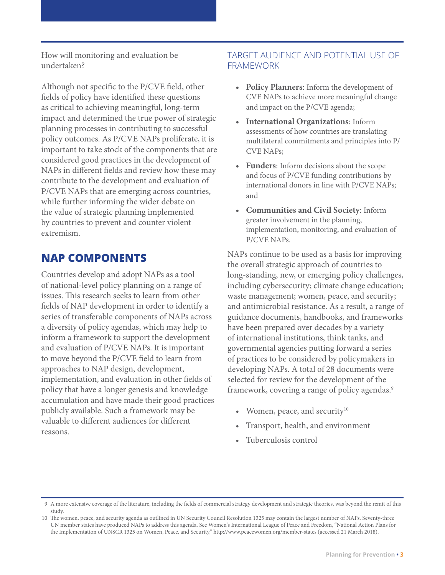How will monitoring and evaluation be undertaken?

Although not specific to the P/CVE field, other fields of policy have identified these questions as critical to achieving meaningful, long-term impact and determined the true power of strategic planning processes in contributing to successful policy outcomes. As P/CVE NAPs proliferate, it is important to take stock of the components that are considered good practices in the development of NAPs in different fields and review how these may contribute to the development and evaluation of P/CVE NAPs that are emerging across countries, while further informing the wider debate on the value of strategic planning implemented by countries to prevent and counter violent extremism.

## **NAP COMPONENTS**

Countries develop and adopt NAPs as a tool of national-level policy planning on a range of issues. This research seeks to learn from other fields of NAP development in order to identify a series of transferable components of NAPs across a diversity of policy agendas, which may help to inform a framework to support the development and evaluation of P/CVE NAPs. It is important to move beyond the P/CVE field to learn from approaches to NAP design, development, implementation, and evaluation in other fields of policy that have a longer genesis and knowledge accumulation and have made their good practices publicly available. Such a framework may be valuable to different audiences for different reasons.

#### TARGET AUDIENCE AND POTENTIAL USE OF FRAMEWORK

- **• Policy Planners**: Inform the development of CVE NAPs to achieve more meaningful change and impact on the P/CVE agenda;
- **• International Organizations**: Inform assessments of how countries are translating multilateral commitments and principles into P/ CVE NAPs;
- **• Funders**: Inform decisions about the scope and focus of P/CVE funding contributions by international donors in line with P/CVE NAPs; and
- **• Communities and Civil Society**: Inform greater involvement in the planning, implementation, monitoring, and evaluation of P/CVE NAPs.

NAPs continue to be used as a basis for improving the overall strategic approach of countries to long-standing, new, or emerging policy challenges, including cybersecurity; climate change education; waste management; women, peace, and security; and antimicrobial resistance. As a result, a range of guidance documents, handbooks, and frameworks have been prepared over decades by a variety of international institutions, think tanks, and governmental agencies putting forward a series of practices to be considered by policymakers in developing NAPs. A total of 28 documents were selected for review for the development of the framework, covering a range of policy agendas.<sup>9</sup>

- Women, peace, and security $10$
- Transport, health, and environment
- Tuberculosis control

A more extensive coverage of the literature, including the fields of commercial strategy development and strategic theories, was beyond the remit of this 9 study.

<sup>10</sup> The women, peace, and security agenda as outlined in UN Security Council Resolution 1325 may contain the largest number of NAPs. Seventy-three UN member states have produced NAPs to address this agenda. See Women's International League of Peace and Freedom, "National Action Plans for the Implementation of UNSCR 1325 on Women, Peace, and Security," [http://www.peacewomen.org/member-states \(accessed 21 March 2018\).](http://www.peacewomen.org/member-states)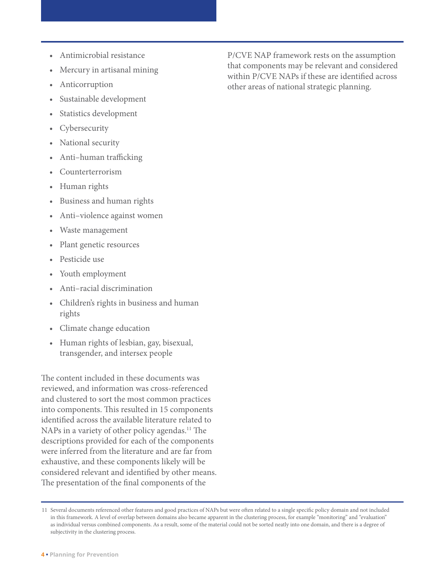- Antimicrobial resistance
- Mercury in artisanal mining
- **Anticorruption**
- Sustainable development
- Statistics development
- **Cybersecurity**
- National security
- Anti–human trafficking
- Counterterrorism
- Human rights
- Business and human rights
- Anti–violence against women
- Waste management
- Plant genetic resources
- Pesticide use
- Youth employment
- Anti–racial discrimination
- Children's rights in business and human rights
- Climate change education
- Human rights of lesbian, gay, bisexual, transgender, and intersex people

The content included in these documents was reviewed, and information was cross-referenced and clustered to sort the most common practices into components. This resulted in 15 components identified across the available literature related to NAPs in a variety of other policy agendas.<sup>11</sup> The descriptions provided for each of the components were inferred from the literature and are far from exhaustive, and these components likely will be considered relevant and identified by other means. The presentation of the final components of the

P/CVE NAP framework rests on the assumption that components may be relevant and considered within P/CVE NAPs if these are identified across other areas of national strategic planning.

<sup>11</sup> Several documents referenced other features and good practices of NAPs but were often related to a single specific policy domain and not included in this framework. A level of overlap between domains also became apparent in the clustering process, for example "monitoring" and "evaluation" as individual versus combined components. As a result, some of the material could not be sorted neatly into one domain, and there is a degree of subjectivity in the clustering process.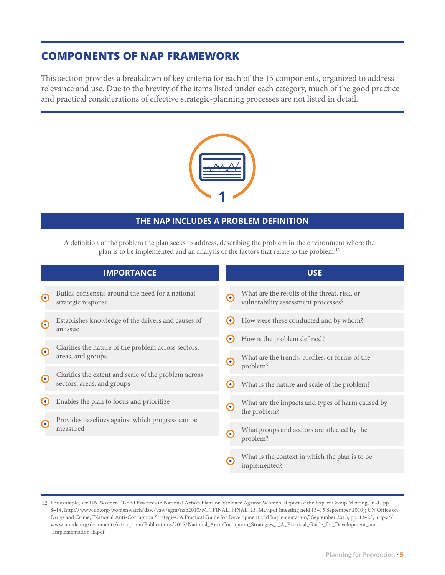## **COMPONENTS OF NAP FRAMEWORK**

This section provides a breakdown of key criteria for each of the 15 components, organized to address relevance and use. Due to the brevity of the items listed under each category, much of the good practice and practical considerations of effective strategic-planning processes are not listed in detail.



#### **THE NAP INCLUDES A PROBLEM DEFINITION**

A definition of the problem the plan seeks to address, describing the problem in the environment where the plan is to be implemented and an analysis of the factors that relate to the problem.12

|             | <b>IMPORTANCE</b>                                                        |                       | <b>USE</b>                                                                          |
|-------------|--------------------------------------------------------------------------|-----------------------|-------------------------------------------------------------------------------------|
| $\odot$     | Builds consensus around the need for a national<br>strategic response    | ⋒                     | What are the results of the threat, risk, or<br>vulnerability assessment processes? |
| $\odot$     | Establishes knowledge of the drivers and causes of<br>an issue           | O                     | How were these conducted and by whom?                                               |
|             |                                                                          | $\bullet$             | How is the problem defined?                                                         |
| $\odot$     | Clarifies the nature of the problem across sectors,<br>areas, and groups | ⊙                     | What are the trends, profiles, or forms of the<br>problem?                          |
| $\odot$     | Clarifies the extent and scale of the problem across                     |                       |                                                                                     |
|             | sectors, areas, and groups                                               | $\bullet$             | What is the nature and scale of the problem?                                        |
| $(\bullet)$ | Enables the plan to focus and prioritize                                 | $\boldsymbol{\Theta}$ | What are the impacts and types of harm caused by<br>the problem?                    |
| $\bullet$   | Provides baselines against which progress can be                         |                       |                                                                                     |
|             | measured                                                                 | G                     | What groups and sectors are affected by the<br>problem?                             |
|             |                                                                          | o                     | What is the context in which the plan is to be<br>implemented?                      |

<sup>12</sup> For example, see UN Women, "Good Practices in National Action Plans on Violence Against Women: Report of the Expert Group Meeting," n.d., pp. 8–14, [http://www.un.org/womenwatch/daw/vaw/egm/nap2010/MF\\_FINAL\\_FINAL\\_23\\_May.pdf \(meeting held 13–15 September 2010\)](http://www.un.org/womenwatch/daw/vaw/egm/nap2010/MF_FINAL_FINAL_23_May.pdf); UN Office on Drugs and Crime, "National Anti-Corruption Strategies: A Practical Guide for Development and Implementation," September 2015, pp. 13–23, [https://](https://www.unodc.org/documents/corruption/Publications/2015/National_Anti-Corruption_Strategies_-_A_Practical_Guide_for_Development_and_Implementation_E.pdf) [www.unodc.org/documents/corruption/Publications/2015/National\\_Anti-Corruption\\_Strategies\\_-\\_A\\_Practical\\_Guide\\_for\\_Development\\_and](https://www.unodc.org/documents/corruption/Publications/2015/National_Anti-Corruption_Strategies_-_A_Practical_Guide_for_Development_and_Implementation_E.pdf) [\\_Implementation\\_E.pdf.](https://www.unodc.org/documents/corruption/Publications/2015/National_Anti-Corruption_Strategies_-_A_Practical_Guide_for_Development_and_Implementation_E.pdf)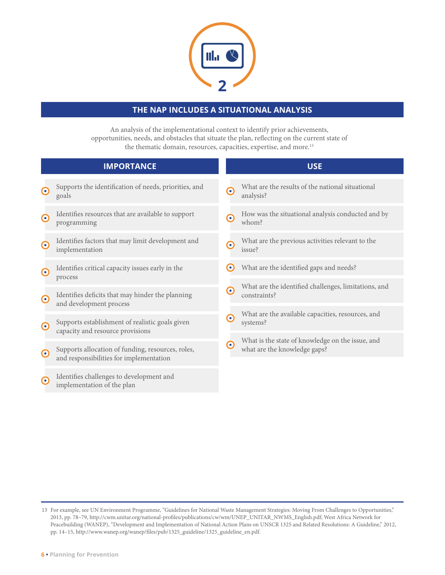

### **THE NAP INCLUDES A SITUATIONAL ANALYSIS**

An analysis of the implementational context to identify prior achievements, opportunities, needs, and obstacles that situate the plan, reflecting on the current state of the thematic domain, resources, capacities, expertise, and more.<sup>13</sup>

|                       | <b>IMPORTANCE</b>                                                                            |           | <b>USE</b>                                                                       |
|-----------------------|----------------------------------------------------------------------------------------------|-----------|----------------------------------------------------------------------------------|
| $\boldsymbol{\Theta}$ | Supports the identification of needs, priorities, and<br>goals                               | $\bullet$ | What are the results of the national situational<br>analysis?                    |
| $\boldsymbol{\Theta}$ | Identifies resources that are available to support<br>programming                            | ∩         | How was the situational analysis conducted and by<br>whom?                       |
| $\bullet$             | Identifies factors that may limit development and<br>implementation                          | €         | What are the previous activities relevant to the<br>issue?                       |
| $\boldsymbol{\Theta}$ | Identifies critical capacity issues early in the<br>process                                  | $\bullet$ | What are the identified gaps and needs?                                          |
| $\boldsymbol{\Theta}$ | Identifies deficits that may hinder the planning<br>and development process                  | G         | What are the identified challenges, limitations, and<br>constraints?             |
| $\boldsymbol{\Theta}$ | Supports establishment of realistic goals given<br>capacity and resource provisions          | $\bullet$ | What are the available capacities, resources, and<br>systems?                    |
| $\boldsymbol{\Theta}$ | Supports allocation of funding, resources, roles,<br>and responsibilities for implementation | $\bullet$ | What is the state of knowledge on the issue, and<br>what are the knowledge gaps? |
| $\bullet$             | Identifies challenges to development and<br>implementation of the plan                       |           |                                                                                  |

<sup>13</sup> For example, see UN Environment Programme, "Guidelines for National Waste Management Strategies: Moving From Challenges to Opportunities," 2013, pp. 78–79, [http://cwm.unitar.org/national-profiles/publications/cw/wm/UNEP\\_UNITAR\\_NWMS\\_English.pdf](http://cwm.unitar.org/national-profiles/publications/cw/wm/UNEP_UNITAR_NWMS_English.pdf); West Africa Network for Peacebuilding (WANEP), "Development and Implementation of National Action Plans on UNSCR 1325 and Related Resolutions: A Guideline," 2012, pp. 14–15, [http://www.wanep.org/wanep/files/pub/1325\\_guideline/1325\\_guideline\\_en.pdf.](http://www.wanep.org/wanep/files/pub/1325_guideline/1325_guideline_en.pdf)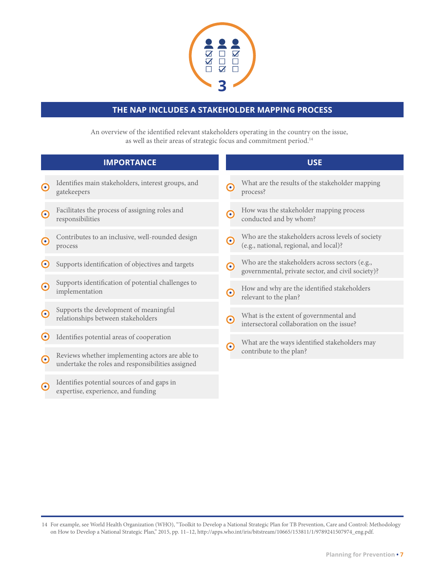

### **THE NAP INCLUDES A STAKEHOLDER MAPPING PROCESS**

An overview of the identified relevant stakeholders operating in the country on the issue, as well as their areas of strategic focus and commitment period.14

|                          | <b>IMPORTANCE</b>                                                                                    |                       | <b>USE</b>                                                                                          |
|--------------------------|------------------------------------------------------------------------------------------------------|-----------------------|-----------------------------------------------------------------------------------------------------|
| $\boldsymbol{\Theta}$    | Identifies main stakeholders, interest groups, and<br>gatekeepers                                    | $\boldsymbol{\odot}$  | What are the results of the stakeholder mapping<br>process?                                         |
| $\boldsymbol{\odot}$     | Facilitates the process of assigning roles and<br>responsibilities                                   | $\boldsymbol{\odot}$  | How was the stakeholder mapping process<br>conducted and by whom?                                   |
| $\boldsymbol{\Theta}$    | Contributes to an inclusive, well-rounded design<br>process                                          | $\bullet$             | Who are the stakeholders across levels of society<br>(e.g., national, regional, and local)?         |
| $(\bullet)$              | Supports identification of objectives and targets                                                    | $\boldsymbol{\Theta}$ | Who are the stakeholders across sectors (e.g.,<br>governmental, private sector, and civil society)? |
| $\bm{\Theta}$            | Supports identification of potential challenges to<br>implementation                                 | $\mathbf{\Theta}$     | How and why are the identified stakeholders<br>relevant to the plan?                                |
| $\boldsymbol{\Theta}$    | Supports the development of meaningful<br>relationships between stakeholders                         | ∩                     | What is the extent of governmental and<br>intersectoral collaboration on the issue?                 |
| $\left( \bullet \right)$ | Identifies potential areas of cooperation                                                            |                       | What are the ways identified stakeholders may                                                       |
| $\mathbf \Theta$         | Reviews whether implementing actors are able to<br>undertake the roles and responsibilities assigned | $\mathbf \Theta$      | contribute to the plan?                                                                             |
| $\bullet$                | Identifies potential sources of and gaps in<br>expertise, experience, and funding                    |                       |                                                                                                     |

For example, see World Health Organization (WHO), "Toolkit to Develop a National Strategic Plan for TB Prevention, Care and Control: Methodology 14 on How to Develop a National Strategic Plan," 2015, pp. 11–12, [http://apps.who.int/iris/bitstream/10665/153811/1/9789241507974\\_eng.pdf.](http://apps.who.int/iris/bitstream/handle/10665/153811/9789241507974_eng.pdf;jsessionid=622B156B2DBCDD5AE1D2AF1719D2C2B2?sequence=1)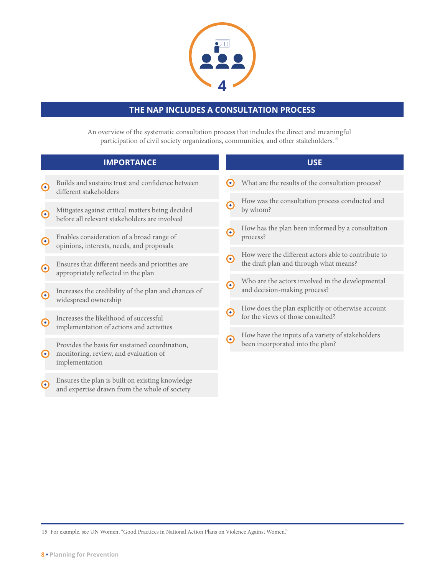

### **THE NAP INCLUDES A CONSULTATION PROCESS**

An overview of the systematic consultation process that includes the direct and meaningful participation of civil society organizations, communities, and other stakeholders.15

|                       | <b>IMPORTANCE</b>                                                                                                   |            | <b>USE</b>                                                                                    |
|-----------------------|---------------------------------------------------------------------------------------------------------------------|------------|-----------------------------------------------------------------------------------------------|
| $\odot$               | Builds and sustains trust and confidence between<br>different stakeholders                                          | O          | What are the results of the consultation process?                                             |
| $\odot$               | Mitigates against critical matters being decided<br>before all relevant stakeholders are involved                   | $\bullet$  | How was the consultation process conducted and<br>by whom?                                    |
| $\odot$               | Enables consideration of a broad range of<br>opinions, interests, needs, and proposals                              | ⊙          | How has the plan been informed by a consultation<br>process?                                  |
| $\odot$               | Ensures that different needs and priorities are                                                                     | ⊙          | How were the different actors able to contribute to<br>the draft plan and through what means? |
| $\odot$               | appropriately reflected in the plan<br>Increases the credibility of the plan and chances of<br>widespread ownership | $\bigodot$ | Who are the actors involved in the developmental<br>and decision-making process?              |
| $\boldsymbol{\Theta}$ | Increases the likelihood of successful                                                                              | $\bullet$  | How does the plan explicitly or otherwise account<br>for the views of those consulted?        |
|                       | implementation of actions and activities<br>Provides the basis for sustained coordination,                          | G          | How have the inputs of a variety of stakeholders<br>been incorporated into the plan?          |
| $\boldsymbol{\Theta}$ | monitoring, review, and evaluation of<br>implementation                                                             |            |                                                                                               |
| $\Omega$              | Ensures the plan is built on existing knowledge<br>and expertise drawn from the whole of society                    |            |                                                                                               |

15 For example, see UN Women, "Good Practices in National Action Plans on Violence Against Women."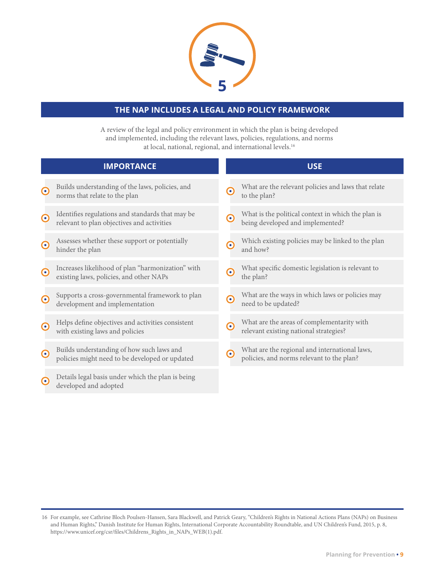

#### **THE NAP INCLUDES A LEGAL AND POLICY FRAMEWORK**

A review of the legal and policy environment in which the plan is being developed and implemented, including the relevant laws, policies, regulations, and norms at local, national, regional, and international levels.16

|                       | <b>IMPORTANCE</b>                                                                              |                  | <b>USE</b>                                                                                 |
|-----------------------|------------------------------------------------------------------------------------------------|------------------|--------------------------------------------------------------------------------------------|
| $\boldsymbol{\Theta}$ | Builds understanding of the laws, policies, and<br>norms that relate to the plan               | $\bullet$        | What are the relevant policies and laws that relate<br>to the plan?                        |
| $\odot$               | Identifies regulations and standards that may be<br>relevant to plan objectives and activities | ෬                | What is the political context in which the plan is<br>being developed and implemented?     |
| $\boldsymbol{\Theta}$ | Assesses whether these support or potentially<br>hinder the plan                               | G                | Which existing policies may be linked to the plan<br>and how?                              |
| $\boldsymbol{\Theta}$ | Increases likelihood of plan "harmonization" with<br>existing laws, policies, and other NAPs   | G                | What specific domestic legislation is relevant to<br>the plan?                             |
| $\odot$               | Supports a cross-governmental framework to plan<br>development and implementation              | $\mathbf \Omega$ | What are the ways in which laws or policies may<br>need to be updated?                     |
| $\boldsymbol{\Theta}$ | Helps define objectives and activities consistent<br>with existing laws and policies           | $\odot$          | What are the areas of complementarity with<br>relevant existing national strategies?       |
| $\boldsymbol{\Theta}$ | Builds understanding of how such laws and<br>policies might need to be developed or updated    | ᢛ                | What are the regional and international laws,<br>policies, and norms relevant to the plan? |
| $\bullet$             | Details legal basis under which the plan is being<br>developed and adopted                     |                  |                                                                                            |

<sup>16</sup> For example, see Cathrine Bloch Poulsen-Hansen, Sara Blackwell, and Patrick Geary, "Children's Rights in National Actions Plans (NAPs) on Business and Human Rights," Danish Institute for Human Rights, International Corporate Accountability Roundtable, and UN Children's Fund, 2015, p. 8, [https://www.unicef.org/csr/files/Childrens\\_Rights\\_in\\_NAPs\\_WEB\(1\).pdf.](https://www.unicef.org/csr/files/Childrens_Rights_in_NAPs_WEB(1).pdf)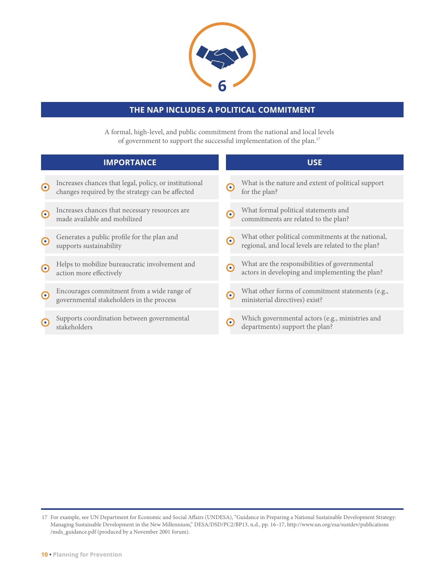

### **THE NAP INCLUDES A POLITICAL COMMITMENT**

A formal, high-level, and public commitment from the national and local levels of government to support the successful implementation of the plan.17

|                       | <b>IMPORTANCE</b>                                                                                          |                          | <b>USE</b>                                                                                               |
|-----------------------|------------------------------------------------------------------------------------------------------------|--------------------------|----------------------------------------------------------------------------------------------------------|
| $\boldsymbol{\Theta}$ | Increases chances that legal, policy, or institutional<br>changes required by the strategy can be affected | $\boldsymbol{\Theta}$    | What is the nature and extent of political support<br>for the plan?                                      |
| $\odot$               | Increases chances that necessary resources are<br>made available and mobilized                             | $\bullet$                | What formal political statements and<br>commitments are related to the plan?                             |
| $\bullet$             | Generates a public profile for the plan and<br>supports sustainability                                     | $\left( \bullet \right)$ | What other political commitments at the national,<br>regional, and local levels are related to the plan? |
| $\bullet$             | Helps to mobilize bureaucratic involvement and<br>action more effectively                                  | $\odot$                  | What are the responsibilities of governmental<br>actors in developing and implementing the plan?         |
| $\bullet$             | Encourages commitment from a wide range of<br>governmental stakeholders in the process                     | $\odot$                  | What other forms of commitment statements (e.g.,<br>ministerial directives) exist?                       |
| o                     | Supports coordination between governmental<br>stakeholders                                                 | o                        | Which governmental actors (e.g., ministries and<br>departments) support the plan?                        |

<sup>17</sup> For example, see UN Department for Economic and Social Affairs (UNDESA), "Guidance in Preparing a National Sustainable Development Strategy: Managing Sustainable Development in the New Millennium," DESA/DSD/PC2/BP13, n.d., pp. 16–17, [http://www.un.org/esa/sustdev/publications](http://www.un.org/esa/sustdev/publications/nsds_guidance.pdf) [/nsds\\_guidance.pdf \(](http://www.un.org/esa/sustdev/publications/nsds_guidance.pdf)produced by a November 2001 forum).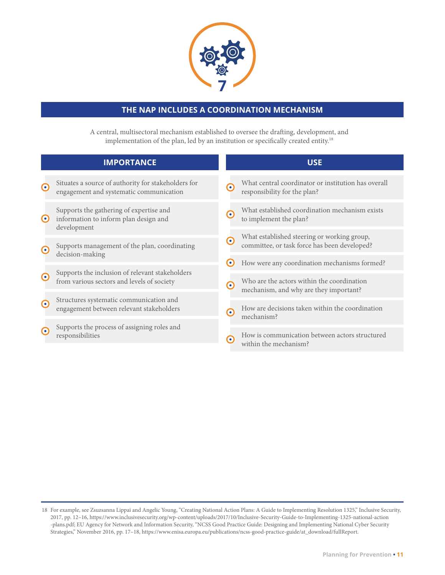

#### **THE NAP INCLUDES A COORDINATION MECHANISM**

A central, multisectoral mechanism established to oversee the drafting, development, and implementation of the plan, led by an institution or specifically created entity.18

|                          | <b>IMPORTANCE</b>                                                                               |           | <b>USE</b>                                                                                  |
|--------------------------|-------------------------------------------------------------------------------------------------|-----------|---------------------------------------------------------------------------------------------|
| $\odot$                  | Situates a source of authority for stakeholders for<br>engagement and systematic communication  | G         | What central coordinator or institution has overall<br>responsibility for the plan?         |
| $\odot$                  | Supports the gathering of expertise and<br>information to inform plan design and<br>development | ⊙         | What established coordination mechanism exists<br>to implement the plan?                    |
| $\odot$                  | Supports management of the plan, coordinating<br>decision-making                                | $\bullet$ | What established steering or working group,<br>committee, or task force has been developed? |
|                          |                                                                                                 | (∙)       | How were any coordination mechanisms formed?                                                |
| $\odot$                  | Supports the inclusion of relevant stakeholders<br>from various sectors and levels of society   | ∩         | Who are the actors within the coordination<br>mechanism, and why are they important?        |
| $\left( \bullet \right)$ | Structures systematic communication and<br>engagement between relevant stakeholders             |           | How are decisions taken within the coordination                                             |
|                          |                                                                                                 | G         | mechanism?                                                                                  |
| $\bullet$                | Supports the process of assigning roles and<br>responsibilities                                 | ۰         | How is communication between actors structured<br>within the mechanism?                     |

<sup>18</sup> For example, see Zsuzsanna Lippai and Angelic Young, "Creating National Action Plans: A Guide to Implementing Resolution 1325," Inclusive Security, 2017, pp. 12–16, [https://www.inclusivesecurity.org/wp-content/uploads/2017/10/Inclusive-Security-Guide-to-Implementing-1325-national-action](https://www.inclusivesecurity.org/wp-content/uploads/2017/10/Inclusive-Security-Guide-to-Implementing-1325-national-action-plans.pdf) [-plans.pdf;](https://www.inclusivesecurity.org/wp-content/uploads/2017/10/Inclusive-Security-Guide-to-Implementing-1325-national-action-plans.pdf) EU Agency for Network and Information Security, "NCSS Good Practice Guide: Designing and Implementing National Cyber Security Strategies," November 2016, pp. 17–18[, https://www.enisa.europa.eu/publications/ncss-good-practice-guide/at\\_download/fullReport.](https://www.enisa.europa.eu/publications/ncss-good-practice-guide/at_download/fullReport)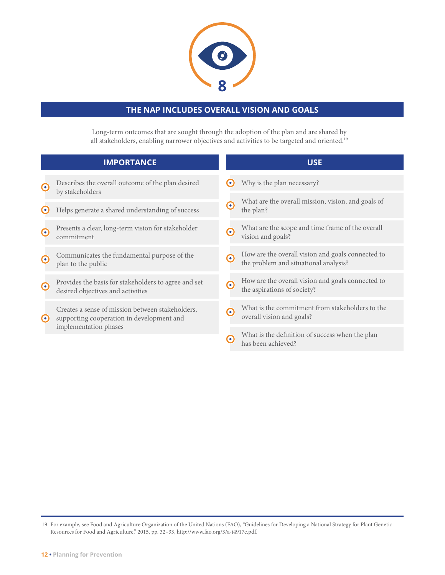

### **THE NAP INCLUDES OVERALL VISION AND GOALS**

Long-term outcomes that are sought through the adoption of the plan and are shared by all stakeholders, enabling narrower objectives and activities to be targeted and oriented.19

|                          | <b>IMPORTANCE</b>                                                                                                      |                          | <b>USE</b>                                                                                 |
|--------------------------|------------------------------------------------------------------------------------------------------------------------|--------------------------|--------------------------------------------------------------------------------------------|
| $\bullet$                | Describes the overall outcome of the plan desired<br>by stakeholders                                                   | $\left( \bullet \right)$ | Why is the plan necessary?                                                                 |
| $\left( \bullet \right)$ | Helps generate a shared understanding of success                                                                       | $\bullet$                | What are the overall mission, vision, and goals of<br>the plan?                            |
| $\bullet$                | Presents a clear, long-term vision for stakeholder<br>commitment                                                       | ∩                        | What are the scope and time frame of the overall<br>vision and goals?                      |
| $\left( \bullet \right)$ | Communicates the fundamental purpose of the<br>plan to the public                                                      | ⊙                        | How are the overall vision and goals connected to<br>the problem and situational analysis? |
| $\boldsymbol{\Theta}$    | Provides the basis for stakeholders to agree and set<br>desired objectives and activities                              | $\mathbf{\Omega}$        | How are the overall vision and goals connected to<br>the aspirations of society?           |
| $\left( \bullet \right)$ | Creates a sense of mission between stakeholders,<br>supporting cooperation in development and<br>implementation phases | ∩                        | What is the commitment from stakeholders to the<br>overall vision and goals?               |
|                          |                                                                                                                        | G                        | What is the definition of success when the plan<br>has been achieved?                      |

<sup>19</sup> For example, see Food and Agriculture Organization of the United Nations (FAO), "Guidelines for Developing a National Strategy for Plant Genetic Resources for Food and Agriculture," 2015, pp. 32–33,<http://www.fao.org/3/a-i4917e.pdf>.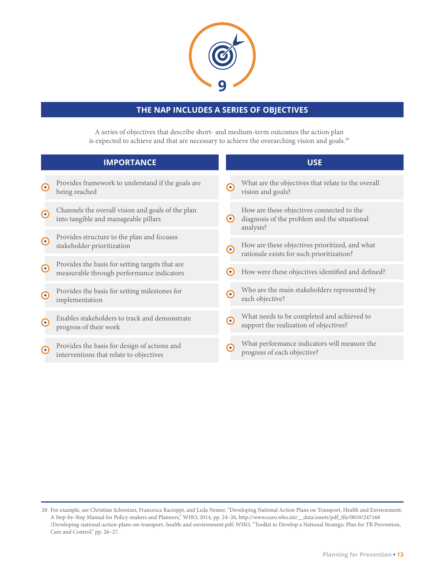

### **THE NAP INCLUDES A SERIES OF OBJECTIVES**

A series of objectives that describe short- and medium-term outcomes the action plan is expected to achieve and that are necessary to achieve the overarching vision and goals.<sup>20</sup>

|                       | <b>IMPORTANCE</b>                                                                            |                          | <b>USE</b>                                                                                             |
|-----------------------|----------------------------------------------------------------------------------------------|--------------------------|--------------------------------------------------------------------------------------------------------|
| $\boldsymbol{\Theta}$ | Provides framework to understand if the goals are<br>being reached                           | $\bullet$                | What are the objectives that relate to the overall<br>vision and goals?                                |
| $\odot$               | Channels the overall vision and goals of the plan<br>into tangible and manageable pillars    | $\left( \bullet \right)$ | How are these objectives connected to the<br>diagnosis of the problem and the situational<br>analysis? |
| $\odot$               | Provides structure to the plan and focuses<br>stakeholder prioritization                     | ∩                        | How are these objectives prioritized, and what<br>rationale exists for such prioritization?            |
| $\odot$               | Provides the basis for setting targets that are<br>measurable through performance indicators | $\bullet$                | How were these objectives identified and defined?                                                      |
| $\bullet$             | Provides the basis for setting milestones for<br>implementation                              | $\bullet$                | Who are the main stakeholders represented by<br>each objective?                                        |
| $\odot$               | Enables stakeholders to track and demonstrate<br>progress of their work                      | $\boldsymbol{\Theta}$    | What needs to be completed and achieved to<br>support the realization of objectives?                   |
| $\bullet$             | Provides the basis for design of actions and<br>interventions that relate to objectives      | $\bullet$                | What performance indicators will measure the<br>progress of each objective?                            |

<sup>20</sup> For example, see Christian Schweizer, Francesca Racioppi, and Leda Nemer, "Developing National Action Plans on Transport, Health and Environment: A Step-by-Step Manual for Policy-makers and Planners," WHO, 2014, pp. 24–26, [http://www.euro.who.int/\\_\\_data/assets/pdf\\_file/0010/247168](http://www.euro.who.int/__data/assets/pdf_file/0010/247168/Developing-national-action-plans-on-transport,-health-and-environment.pdf) [/Developing-national-action-plans-on-transport,-health-and-environment.pdf;](http://www.euro.who.int/__data/assets/pdf_file/0010/247168/Developing-national-action-plans-on-transport,-health-and-environment.pdf) WHO, "Toolkit to Develop a National Strategic Plan for TB Prevention, Care and Control," pp. 26-27.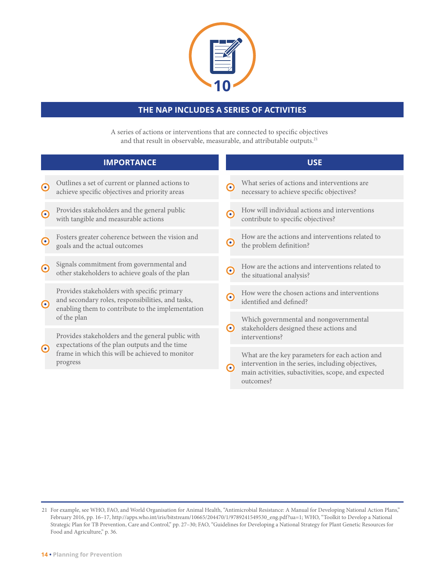

### **THE NAP INCLUDES A SERIES OF ACTIVITIES**

A series of actions or interventions that are connected to specific objectives and that result in observable, measurable, and attributable outputs.<sup>21</sup>

|                       | <b>IMPORTANCE</b>                                                                                                                                                 |                       | <b>USE</b>                                                                                           |
|-----------------------|-------------------------------------------------------------------------------------------------------------------------------------------------------------------|-----------------------|------------------------------------------------------------------------------------------------------|
| $\boldsymbol{\Theta}$ | Outlines a set of current or planned actions to<br>achieve specific objectives and priority areas                                                                 | $\boldsymbol{\Theta}$ | What series of actions and interventions are<br>necessary to achieve specific objectives?            |
| $\boldsymbol{\Theta}$ | Provides stakeholders and the general public<br>with tangible and measurable actions                                                                              | C                     | How will individual actions and interventions<br>contribute to specific objectives?                  |
| $\boldsymbol{\Theta}$ | Fosters greater coherence between the vision and<br>goals and the actual outcomes                                                                                 | $\mathbf C$           | How are the actions and interventions related to<br>the problem definition?                          |
| $\boldsymbol{\Theta}$ | Signals commitment from governmental and<br>other stakeholders to achieve goals of the plan                                                                       | C                     | How are the actions and interventions related to<br>the situational analysis?                        |
| $\odot$               | Provides stakeholders with specific primary<br>and secondary roles, responsibilities, and tasks,<br>enabling them to contribute to the implementation             | G                     | How were the chosen actions and interventions<br>identified and defined?                             |
|                       | of the plan                                                                                                                                                       | $\bullet$             | Which governmental and nongovernmental                                                               |
|                       | Provides stakeholders and the general public with<br>expectations of the plan outputs and the time<br>frame in which this will be achieved to monitor<br>progress |                       | stakeholders designed these actions and<br>interventions?                                            |
| $\odot$               |                                                                                                                                                                   | ෬                     | What are the key parameters for each action and<br>intervention in the series, including objectives, |
|                       |                                                                                                                                                                   |                       | main activities, subactivities, scope, and expected<br>outcomes?                                     |

For example, see WHO, FAO, and World Organisation for Animal Health, "Antimicrobial Resistance: A Manual for Developing National Action Plans," 21 February 2016, pp. 16–17, [http://apps.who.int/iris/bitstream/10665/204470/1/9789241549530\\_eng.pdf?ua=1](http://apps.who.int/iris/bitstream/10665/204470/1/9789241549530_eng.pdf?ua=1); WHO, "Toolkit to Develop a National Strategic Plan for TB Prevention, Care and Control," pp. 27–30; FAO, "Guidelines for Developing a National Strategy for Plant Genetic Resources for Food and Agriculture," p. 36.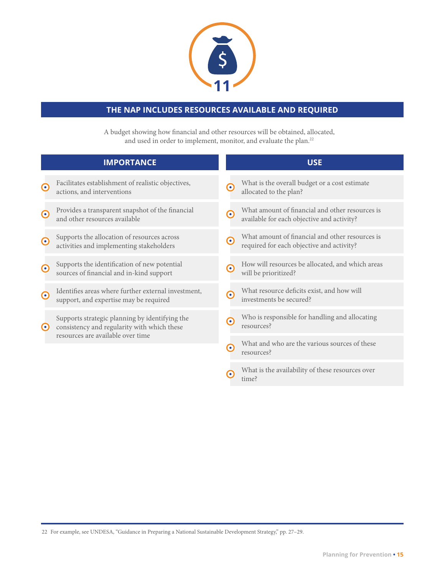

## **THE NAP INCLUDES RESOURCES AVAILABLE AND REQUIRED**

A budget showing how financial and other resources will be obtained, allocated, and used in order to implement, monitor, and evaluate the plan.<sup>22</sup>

|                       | <b>IMPORTANCE</b>                                                                             |                       | <b>USE</b>                                                                                    |
|-----------------------|-----------------------------------------------------------------------------------------------|-----------------------|-----------------------------------------------------------------------------------------------|
| $\odot$               | Facilitates establishment of realistic objectives,<br>actions, and interventions              | ⊙                     | What is the overall budget or a cost estimate<br>allocated to the plan?                       |
| $\odot$               | Provides a transparent snapshot of the financial<br>and other resources available             | $\mathbf \Omega$      | What amount of financial and other resources is<br>available for each objective and activity? |
| $\boldsymbol{\Theta}$ | Supports the allocation of resources across<br>activities and implementing stakeholders       | $\boldsymbol{\Theta}$ | What amount of financial and other resources is<br>required for each objective and activity?  |
| $\odot$               | Supports the identification of new potential<br>sources of financial and in-kind support      | $\boldsymbol{\Theta}$ | How will resources be allocated, and which areas<br>will be prioritized?                      |
| $\boldsymbol{\Theta}$ | Identifies areas where further external investment,<br>support, and expertise may be required | ∩                     | What resource deficits exist, and how will<br>investments be secured?                         |
| $\boldsymbol{\Theta}$ | Supports strategic planning by identifying the<br>consistency and regularity with which these | ⊙                     | Who is responsible for handling and allocating<br>resources?                                  |
|                       | resources are available over time                                                             | ∩                     | What and who are the various sources of these<br>resources?                                   |
|                       |                                                                                               |                       | What is the availability of these resources over<br>time?                                     |

22 For example, see UNDESA, "Guidance in Preparing a National Sustainable Development Strategy," pp. 27–29.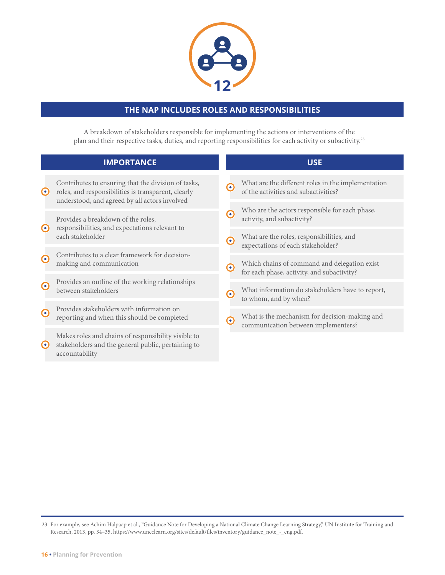

#### **THE NAP INCLUDES ROLES AND RESPONSIBILITIES**

A breakdown of stakeholders responsible for implementing the actions or interventions of the plan and their respective tasks, duties, and reporting responsibilities for each activity or subactivity.23

|           | <b>IMPORTANCE</b>                                                                                                                                           |               | <b>USE</b>                                                                                 |
|-----------|-------------------------------------------------------------------------------------------------------------------------------------------------------------|---------------|--------------------------------------------------------------------------------------------|
| $\odot$   | Contributes to ensuring that the division of tasks,<br>roles, and responsibilities is transparent, clearly<br>understood, and agreed by all actors involved | ∩             | What are the different roles in the implementation<br>of the activities and subactivities? |
|           | Provides a breakdown of the roles,                                                                                                                          | $\bullet$     | Who are the actors responsible for each phase,<br>activity, and subactivity?               |
| $\odot$   | responsibilities, and expectations relevant to<br>each stakeholder                                                                                          | $\bm{\Theta}$ | What are the roles, responsibilities, and<br>expectations of each stakeholder?             |
| $\odot$   | Contributes to a clear framework for decision-<br>making and communication                                                                                  | ∩             | Which chains of command and delegation exist<br>for each phase, activity, and subactivity? |
| $\odot$   | Provides an outline of the working relationships<br>between stakeholders                                                                                    | റ             | What information do stakeholders have to report,<br>to whom, and by when?                  |
| $\odot$   | Provides stakeholders with information on<br>reporting and when this should be completed                                                                    | ∩             | What is the mechanism for decision-making and<br>communication between implementers?       |
| $\bullet$ | Makes roles and chains of responsibility visible to<br>stakeholders and the general public, pertaining to<br>accountability                                 |               |                                                                                            |

<sup>23</sup> For example, see Achim Halpaap et al., "Guidance Note for Developing a National Climate Change Learning Strategy," UN Institute for Training and Research, 2013, pp. 34–35, [https://www.uncclearn.org/sites/default/files/inventory/guidance\\_note\\_-\\_eng.pdf](https://www.uncclearn.org/sites/default/files/inventory/guidance_note_-_eng.pdf).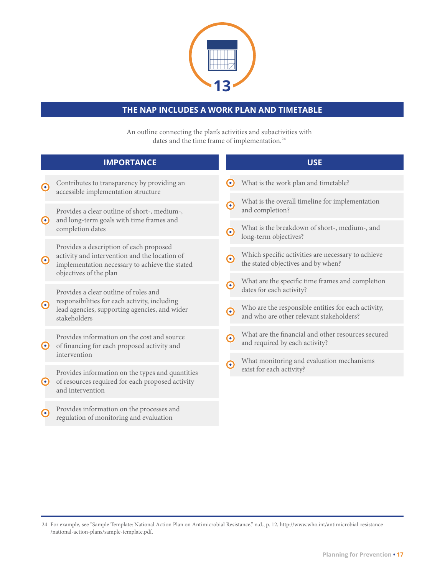

### **THE NAP INCLUDES A WORK PLAN AND TIMETABLE**

An outline connecting the plan's activities and subactivities with dates and the time frame of implementation.<sup>24</sup>

|                       | <b>IMPORTANCE</b>                                                                                                                                                                 |                                    | <b>USE</b>                                                                                      |
|-----------------------|-----------------------------------------------------------------------------------------------------------------------------------------------------------------------------------|------------------------------------|-------------------------------------------------------------------------------------------------|
| $\boldsymbol{\Theta}$ | Contributes to transparency by providing an<br>accessible implementation structure                                                                                                | $\bullet$                          | What is the work plan and timetable?                                                            |
| $\odot$               | Provides a clear outline of short-, medium-,<br>and long-term goals with time frames and<br>completion dates                                                                      | ∩                                  | What is the overall timeline for implementation<br>and completion?                              |
|                       |                                                                                                                                                                                   | $\boldsymbol{\Theta}$              | What is the breakdown of short-, medium-, and<br>long-term objectives?                          |
| $\odot$               | Provides a description of each proposed<br>activity and intervention and the location of<br>implementation necessary to achieve the stated                                        | $\boldsymbol{\Theta}$<br>$\bullet$ | Which specific activities are necessary to achieve<br>the stated objectives and by when?        |
| $\boldsymbol{\Theta}$ | objectives of the plan<br>Provides a clear outline of roles and<br>responsibilities for each activity, including<br>lead agencies, supporting agencies, and wider<br>stakeholders |                                    | What are the specific time frames and completion<br>dates for each activity?                    |
|                       |                                                                                                                                                                                   | $\boldsymbol{\Theta}$              | Who are the responsible entities for each activity,<br>and who are other relevant stakeholders? |
| $\odot$               | Provides information on the cost and source<br>of financing for each proposed activity and<br>intervention                                                                        | ∩                                  | What are the financial and other resources secured<br>and required by each activity?            |
|                       |                                                                                                                                                                                   | $\bullet$                          | What monitoring and evaluation mechanisms<br>exist for each activity?                           |
| $\odot$               | Provides information on the types and quantities<br>of resources required for each proposed activity<br>and intervention                                                          |                                    |                                                                                                 |
| ∩                     | Provides information on the processes and<br>regulation of monitoring and evaluation                                                                                              |                                    |                                                                                                 |

For example, see "Sample Template: National Action Plan on Antimicrobial Resistance," n.d., p. 12, [http://www.who.int/antimicrobial-resistance](http://www.who.int/antimicrobial-resistance/national-action-plans/sample-template.pdf) 24 [/national-action-plans/sample-template.pdf.](http://www.who.int/antimicrobial-resistance/national-action-plans/sample-template.pdf)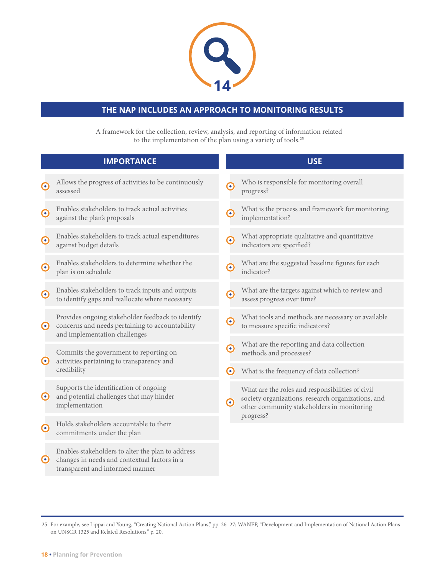

### **THE NAP INCLUDES AN APPROACH TO MONITORING RESULTS**

A framework for the collection, review, analysis, and reporting of information related to the implementation of the plan using a variety of tools.25

|                       | <b>IMPORTANCE</b>                                                                                                                     |                          | <b>USE</b>                                                                                                                                           |
|-----------------------|---------------------------------------------------------------------------------------------------------------------------------------|--------------------------|------------------------------------------------------------------------------------------------------------------------------------------------------|
| $\boldsymbol{\Theta}$ | Allows the progress of activities to be continuously<br>assessed                                                                      | $\boldsymbol{\odot}$     | Who is responsible for monitoring overall<br>progress?                                                                                               |
| $\boldsymbol{\odot}$  | Enables stakeholders to track actual activities<br>against the plan's proposals                                                       | $\boldsymbol{\Theta}$    | What is the process and framework for monitoring<br>implementation?                                                                                  |
| $\boldsymbol{\Theta}$ | Enables stakeholders to track actual expenditures<br>against budget details                                                           | $\left( \bullet \right)$ | What appropriate qualitative and quantitative<br>indicators are specified?                                                                           |
| $\boldsymbol{\odot}$  | Enables stakeholders to determine whether the<br>plan is on schedule                                                                  | $\boldsymbol{\Theta}$    | What are the suggested baseline figures for each<br>indicator?                                                                                       |
| $\boldsymbol{\Theta}$ | Enables stakeholders to track inputs and outputs<br>to identify gaps and reallocate where necessary                                   | $\boldsymbol{\odot}$     | What are the targets against which to review and<br>assess progress over time?                                                                       |
| $\boldsymbol{\odot}$  | Provides ongoing stakeholder feedback to identify<br>concerns and needs pertaining to accountability<br>and implementation challenges | $\boldsymbol{\Theta}$    | What tools and methods are necessary or available<br>to measure specific indicators?                                                                 |
| $\boldsymbol{\Theta}$ | Commits the government to reporting on<br>activities pertaining to transparency and<br>credibility                                    | $\bullet$                | What are the reporting and data collection<br>methods and processes?                                                                                 |
|                       |                                                                                                                                       | $\left( \bullet \right)$ | What is the frequency of data collection?                                                                                                            |
| $\boldsymbol{\Theta}$ | Supports the identification of ongoing<br>and potential challenges that may hinder<br>implementation                                  | $\boldsymbol{\odot}$     | What are the roles and responsibilities of civil<br>society organizations, research organizations, and<br>other community stakeholders in monitoring |
| $\boldsymbol{\odot}$  | Holds stakeholders accountable to their<br>commitments under the plan                                                                 |                          | progress?                                                                                                                                            |
| $\boldsymbol{\Theta}$ | Enables stakeholders to alter the plan to address<br>changes in needs and contextual factors in a<br>transparent and informed manner  |                          |                                                                                                                                                      |

<sup>25</sup> For example, see Lippai and Young, "Creating National Action Plans," pp. 26–27; WANEP, "Development and Implementation of National Action Plans on UNSCR 1325 and Related Resolutions," p. 20.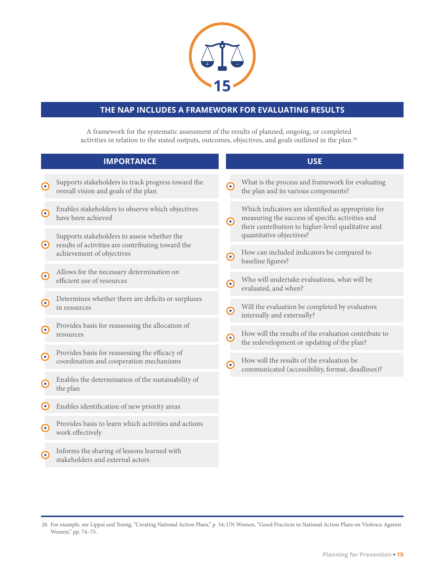

### **THE NAP INCLUDES A FRAMEWORK FOR EVALUATING RESULTS**

A framework for the systematic assessment of the results of planned, ongoing, or completed activities in relation to the stated outputs, outcomes, objectives, and goals outlined in the plan.26

|                          | <b>IMPORTANCE</b>                                                                                                             |                       | <b>USE</b>                                                                                                                                                   |
|--------------------------|-------------------------------------------------------------------------------------------------------------------------------|-----------------------|--------------------------------------------------------------------------------------------------------------------------------------------------------------|
| $\boldsymbol{\odot}$     | Supports stakeholders to track progress toward the<br>overall vision and goals of the plan                                    | $\boldsymbol{\odot}$  | What is the process and framework for evaluating<br>the plan and its various components?                                                                     |
| $\boldsymbol{\odot}$     | Enables stakeholders to observe which objectives<br>have been achieved                                                        | $\boldsymbol{\Theta}$ | Which indicators are identified as appropriate for<br>measuring the success of specific activities and<br>their contribution to higher-level qualitative and |
| $\boldsymbol{\Theta}$    | Supports stakeholders to assess whether the<br>results of activities are contributing toward the<br>achievement of objectives |                       | quantitative objectives?                                                                                                                                     |
|                          |                                                                                                                               | $\boldsymbol{\Theta}$ | How can included indicators be compared to<br>baseline figures?                                                                                              |
| $\boldsymbol{\Theta}$    | Allows for the necessary determination on<br>efficient use of resources                                                       | $\boldsymbol{\odot}$  | Who will undertake evaluations, what will be<br>evaluated, and when?                                                                                         |
| $\boldsymbol{\Theta}$    | Determines whether there are deficits or surpluses<br>in resources                                                            | $\boldsymbol{\Theta}$ | Will the evaluation be completed by evaluators<br>internally and externally?                                                                                 |
| $\boldsymbol{\odot}$     | Provides basis for reassessing the allocation of<br>resources                                                                 | $\boldsymbol{\Theta}$ | How will the results of the evaluation contribute to<br>the redevelopment or updating of the plan?                                                           |
| $\boldsymbol{\odot}$     | Provides basis for reassessing the efficacy of<br>coordination and cooperation mechanisms                                     | $\boldsymbol{\Theta}$ | How will the results of the evaluation be<br>communicated (accessibility, format, deadlines)?                                                                |
| $\boldsymbol{\Theta}$    | Enables the determination of the sustainability of<br>the plan                                                                |                       |                                                                                                                                                              |
| $\left( \bullet \right)$ | Enables identification of new priority areas                                                                                  |                       |                                                                                                                                                              |
| $\boldsymbol{\odot}$     | Provides basis to learn which activities and actions<br>work effectively                                                      |                       |                                                                                                                                                              |
| $\bullet$                | Informs the sharing of lessons learned with<br>stakeholders and external actors                                               |                       |                                                                                                                                                              |

<sup>26</sup> For example, see Lippai and Young, "Creating National Action Plans," p. 34; UN Women, "Good Practices in National Action Plans on Violence Against Women," pp. 74-75.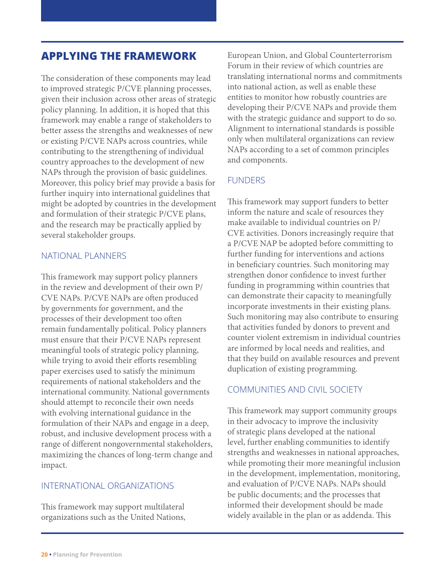## **APPLYING THE FRAMEWORK**

The consideration of these components may lead to improved strategic P/CVE planning processes, given their inclusion across other areas of strategic policy planning. In addition, it is hoped that this framework may enable a range of stakeholders to better assess the strengths and weaknesses of new or existing P/CVE NAPs across countries, while contributing to the strengthening of individual country approaches to the development of new NAPs through the provision of basic guidelines. Moreover, this policy brief may provide a basis for further inquiry into international guidelines that might be adopted by countries in the development and formulation of their strategic P/CVE plans, and the research may be practically applied by several stakeholder groups.

#### NATIONAL PLANNERS

This framework may support policy planners in the review and development of their own P/ CVE NAPs. P/CVE NAPs are often produced by governments for government, and the processes of their development too often remain fundamentally political. Policy planners must ensure that their P/CVE NAPs represent meaningful tools of strategic policy planning, while trying to avoid their efforts resembling paper exercises used to satisfy the minimum requirements of national stakeholders and the international community. National governments should attempt to reconcile their own needs with evolving international guidance in the formulation of their NAPs and engage in a deep, robust, and inclusive development process with a range of different nongovernmental stakeholders, maximizing the chances of long-term change and impact.

#### INTERNATIONAL ORGANIZATIONS

This framework may support multilateral organizations such as the United Nations, European Union, and Global Counterterrorism Forum in their review of which countries are translating international norms and commitments into national action, as well as enable these entities to monitor how robustly countries are developing their P/CVE NAPs and provide them with the strategic guidance and support to do so. Alignment to international standards is possible only when multilateral organizations can review NAPs according to a set of common principles and components.

#### FUNDERS

This framework may support funders to better inform the nature and scale of resources they make available to individual countries on P/ CVE activities. Donors increasingly require that a P/CVE NAP be adopted before committing to further funding for interventions and actions in beneficiary countries. Such monitoring may strengthen donor confidence to invest further funding in programming within countries that can demonstrate their capacity to meaningfully incorporate investments in their existing plans. Such monitoring may also contribute to ensuring that activities funded by donors to prevent and counter violent extremism in individual countries are informed by local needs and realities, and that they build on available resources and prevent duplication of existing programming.

#### COMMUNITIES AND CIVIL SOCIETY

This framework may support community groups in their advocacy to improve the inclusivity of strategic plans developed at the national level, further enabling communities to identify strengths and weaknesses in national approaches, while promoting their more meaningful inclusion in the development, implementation, monitoring, and evaluation of P/CVE NAPs. NAPs should be public documents; and the processes that informed their development should be made widely available in the plan or as addenda. This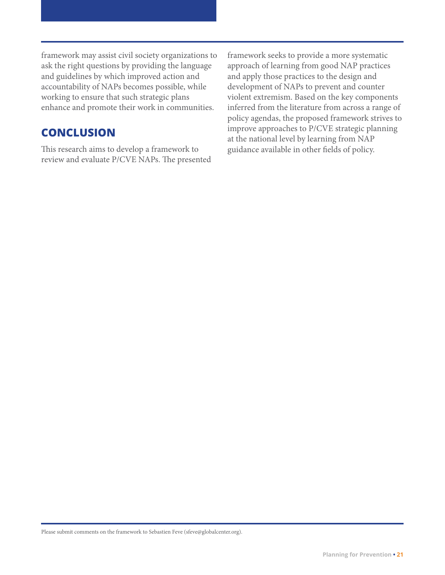framework may assist civil society organizations to ask the right questions by providing the language and guidelines by which improved action and accountability of NAPs becomes possible, while working to ensure that such strategic plans enhance and promote their work in communities.

## **CONCLUSION**

This research aims to develop a framework to review and evaluate P/CVE NAPs. The presented framework seeks to provide a more systematic approach of learning from good NAP practices and apply those practices to the design and development of NAPs to prevent and counter violent extremism. Based on the key components inferred from the literature from across a range of policy agendas, the proposed framework strives to improve approaches to P/CVE strategic planning at the national level by learning from NAP guidance available in other fields of policy.

Please submit comments on the framework to Sebastien Feve [\(sfeve@globalcenter.org](http://mailto:sfeve@globalcenter.org)).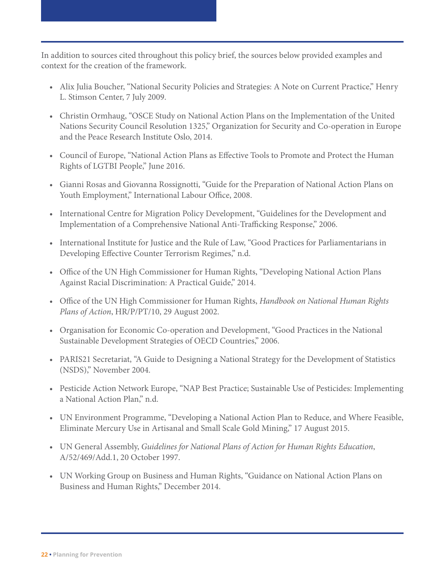In addition to sources cited throughout this policy brief, the sources below provided examples and context for the creation of the framework.

- Alix Julia Boucher, "National Security Policies and Strategies: A Note on Current Practice," Henry L. Stimson Center, 7 July 2009.
- Christin Ormhaug, "OSCE Study on National Action Plans on the Implementation of the United Nations Security Council Resolution 1325," Organization for Security and Co-operation in Europe and the Peace Research Institute Oslo, 2014.
- Council of Europe, "National Action Plans as Effective Tools to Promote and Protect the Human Rights of LGTBI People," June 2016.
- Gianni Rosas and Giovanna Rossignotti, "Guide for the Preparation of National Action Plans on Youth Employment," International Labour Office, 2008.
- International Centre for Migration Policy Development, "Guidelines for the Development and Implementation of a Comprehensive National Anti-Trafficking Response," 2006.
- International Institute for Justice and the Rule of Law, "Good Practices for Parliamentarians in Developing Effective Counter Terrorism Regimes," n.d.
- Office of the UN High Commissioner for Human Rights, "Developing National Action Plans Against Racial Discrimination: A Practical Guide," 2014.
- Office of the UN High Commissioner for Human Rights, *Handbook on National Human Rights Plans of Action*, HR/P/PT/10, 29 August 2002.
- Organisation for Economic Co-operation and Development, "Good Practices in the National Sustainable Development Strategies of OECD Countries," 2006.
- PARIS21 Secretariat, "A Guide to Designing a National Strategy for the Development of Statistics (NSDS)," November 2004.
- Pesticide Action Network Europe, "NAP Best Practice; Sustainable Use of Pesticides: Implementing a National Action Plan," n.d.
- UN Environment Programme, "Developing a National Action Plan to Reduce, and Where Feasible, Eliminate Mercury Use in Artisanal and Small Scale Gold Mining," 17 August 2015.
- UN General Assembly, *Guidelines for National Plans of Action for Human Rights Education*, A/52/469/Add.1, 20 October 1997.
- UN Working Group on Business and Human Rights, "Guidance on National Action Plans on Business and Human Rights," December 2014.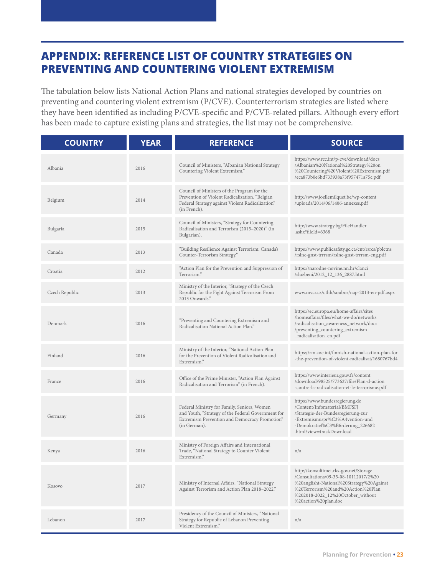## **APPENDIX: REFERENCE LIST OF COUNTRY STRATEGIES ON PREVENTING AND COUNTERING VIOLENT EXTREMISM**

The tabulation below lists National Action Plans and national strategies developed by countries on preventing and countering violent extremism (P/CVE). Counterterrorism strategies are listed where they have been identified as including P/CVE-specific and P/CVE-related pillars. Although every effort has been made to capture existing plans and strategies, the list may not be comprehensive.

| <b>COUNTRY</b> | <b>YEAR</b> | <b>REFERENCE</b>                                                                                                                                                   | <b>SOURCE</b>                                                                                                                                                                                                                   |
|----------------|-------------|--------------------------------------------------------------------------------------------------------------------------------------------------------------------|---------------------------------------------------------------------------------------------------------------------------------------------------------------------------------------------------------------------------------|
| Albania        | 2016        | Council of Ministers, "Albanian National Strategy<br>Countering Violent Extremism."                                                                                | https://www.rcc.int/p-cve/download/docs<br>/Albanian%20National%20Strategy%20on<br>%20Countering%20Violent%20Extremism.pdf<br>/eca873b0e6bd733938a73f957471a75c.pdf                                                             |
| Belgium        | 2014        | Council of Ministers of the Program for the<br>Prevention of Violent Radicalization, "Belgian<br>Federal Strategy against Violent Radicalization"<br>(in French).  | http://www.joellemilquet.be/wp-content<br>/uploads/2014/06/1406-annexes.pdf                                                                                                                                                     |
| Bulgaria       | 2015        | Council of Ministers, "Strategy for Countering<br>Radicalisation and Terrorism (2015-2020)" (in<br>Bulgarian).                                                     | http://www.strategy.bg/FileHandler<br>.ashx?fileId=6368                                                                                                                                                                         |
| Canada         | 2013        | "Building Resilience Against Terrorism: Canada's<br>Counter-Terrorism Strategy."                                                                                   | https://www.publicsafety.gc.ca/cnt/rsrcs/pblctns<br>/rslnc-gnst-trrrsm/rslnc-gnst-trrrsm-eng.pdf                                                                                                                                |
| Croatia        | 2012        | "Action Plan for the Prevention and Suppression of<br>Terrorism."                                                                                                  | https://narodne-novine.nn.hr/clanci<br>/sluzbeni/2012_12_136_2887.html                                                                                                                                                          |
| Czech Republic | 2013        | Ministry of the Interior, "Strategy of the Czech<br>Republic for the Fight Against Terrorism From<br>2013 Onwards."                                                | www.mvcr.cz/cthh/soubor/nap-2013-en-pdf.aspx                                                                                                                                                                                    |
| Denmark        | 2016        | "Preventing and Countering Extremism and<br>Radicalisation National Action Plan."                                                                                  | https://ec.europa.eu/home-affairs/sites<br>/homeaffairs/files/what-we-do/networks<br>/radicalisation_awareness_network/docs<br>/preventing_countering_extremism<br>_radicalisation_en.pdf                                       |
| Finland        | 2016        | Ministry of the Interior, "National Action Plan<br>for the Prevention of Violent Radicalisation and<br>Extremism."                                                 | https://rm.coe.int/finnish-national-action-plan-for<br>-the-prevention-of-violent-radicalisat/1680767bd4                                                                                                                        |
| France         | 2016        | Office of the Prime Minister, "Action Plan Against<br>Radicalisation and Terrorism" (in French).                                                                   | https://www.interieur.gouv.fr/content<br>/download/98525/773627/file/Plan-d-action<br>-contre-la-radicalisation-et-le-terrorisme.pdf                                                                                            |
| Germany        | 2016        | Federal Ministry for Family, Seniors, Women<br>and Youth, "Strategy of the Federal Government for<br>Extremism Prevention and Democracy Promotion"<br>(in German). | https://www.bundesregierung.de<br>/Content/Infomaterial/BMFSFJ<br>/Strategie-der-Bundesregierung-zur<br>-Extremismuspr%C3%A4vention-und<br>-Demokratief%C3%B6rderung_226682<br>.html?view=trackDownload                         |
| Kenya          | 2016        | Ministry of Foreign Affairs and International<br>Trade, "National Strategy to Counter Violent<br>Extremism."                                                       | n/a                                                                                                                                                                                                                             |
| Kosovo         | 2017        | Ministry of Internal Affairs, "National Strategy<br>Against Terrorism and Action Plan 2018-2022."                                                                  | http://konsultimet.rks-gov.net/Storage<br>/Consultations/09-35-08-10112017/2%20<br>%20anglisht-National%20Strategy%20Against<br>%20Terrorism%20and%20Action%20Plan<br>%202018-2022_12%20October_without<br>%20action%20plan.doc |
| Lebanon        | 2017        | Presidency of the Council of Ministers, "National<br>Strategy for Republic of Lebanon Preventing<br>Violent Extremism."                                            | n/a                                                                                                                                                                                                                             |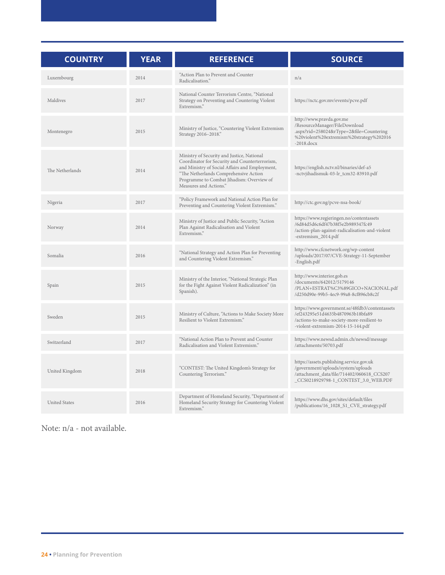| <b>COUNTRY</b>       | <b>YEAR</b> | <b>REFERENCE</b>                                                                                                                                                                                                                                               | <b>SOURCE</b>                                                                                                                                                           |
|----------------------|-------------|----------------------------------------------------------------------------------------------------------------------------------------------------------------------------------------------------------------------------------------------------------------|-------------------------------------------------------------------------------------------------------------------------------------------------------------------------|
| Luxembourg           | 2014        | "Action Plan to Prevent and Counter<br>Radicalisation."                                                                                                                                                                                                        | n/a                                                                                                                                                                     |
| Maldives             | 2017        | National Counter Terrorism Centre, "National<br>Strategy on Preventing and Countering Violent<br>Extremism."                                                                                                                                                   | https://nctc.gov.mv/events/pcve.pdf                                                                                                                                     |
| Montenegro           | 2015        | Ministry of Justice, "Countering Violent Extremism<br>Strategy 2016-2018."                                                                                                                                                                                     | http://www.pravda.gov.me<br>/ResourceManager/FileDownload<br>.aspx?rid=258024&rType=2&file=Countering<br>%20violent%20extremism%20strategy%202016<br>$-2018$ .docx      |
| The Netherlands      | 2014        | Ministry of Security and Justice, National<br>Coordinator for Security and Counterterrorism,<br>and Ministry of Social Affairs and Employment,<br>"The Netherlands Comprehensive Action<br>Programme to Combat Jihadism: Overview of<br>Measures and Actions." | https://english.nctv.nl/binaries/def-a5<br>-nctvjihadismuk-03-lr_tcm32-83910.pdf                                                                                        |
| Nigeria              | 2017        | "Policy Framework and National Action Plan for<br>Preventing and Countering Violent Extremism."                                                                                                                                                                | http://ctc.gov.ng/pcve-nsa-book/                                                                                                                                        |
| Norway               | 2014        | Ministry of Justice and Public Security, "Action<br>Plan Against Radicalisation and Violent<br>Extremism."                                                                                                                                                     | https://www.regjeringen.no/contentassets<br>/6d84d5d6c6df47b38f5e2b989347fc49<br>/action-plan-against-radicalisation-and-violent<br>-extremism_2014.pdf                 |
| Somalia              | 2016        | "National Strategy and Action Plan for Preventing<br>and Countering Violent Extremism."                                                                                                                                                                        | http://www.cfcnetwork.org/wp-content<br>/uploads/2017/07/CVE-Strategy-11-September<br>-English.pdf                                                                      |
| Spain                | 2015        | Ministry of the Interior, "National Strategic Plan<br>for the Fight Against Violent Radicalization" (in<br>Spanish).                                                                                                                                           | http://www.interior.gob.es<br>/documents/642012/5179146<br>/PLAN+ESTRAT%C3%89GICO+NACIONAL.pdf<br>/d250d90e-99b5-4ec9-99a8-8cf896cb8c2f                                 |
| Sweden               | 2015        | Ministry of Culture, "Actions to Make Society More<br>Resilient to Violent Extremism."                                                                                                                                                                         | https://www.government.se/48fdb3/contentassets<br>/ef243295e51d4635b4870963b18bfa89<br>/actions-to-make-society-more-resilient-to<br>-violent-extremism-2014-15-144.pdf |
| Switzerland          | 2017        | "National Action Plan to Prevent and Counter<br>Radicalisation and Violent Extremism."                                                                                                                                                                         | https://www.newsd.admin.ch/newsd/message<br>/attachments/50703.pdf                                                                                                      |
| United Kingdom       | 2018        | "CONTEST: The United Kingdom's Strategy for<br>Countering Terrorism."                                                                                                                                                                                          | https://assets.publishing.service.gov.uk<br>/government/uploads/system/uploads<br>/attachment_data/file/714402/060618_CCS207<br>_CCS0218929798-1_CONTEST_3.0_WEB.PDF    |
| <b>United States</b> | 2016        | Department of Homeland Security, "Department of<br>Homeland Security Strategy for Countering Violent<br>Extremism."                                                                                                                                            | https://www.dhs.gov/sites/default/files<br>/publications/16_1028_S1_CVE_strategy.pdf                                                                                    |

Note: n/a - not available.